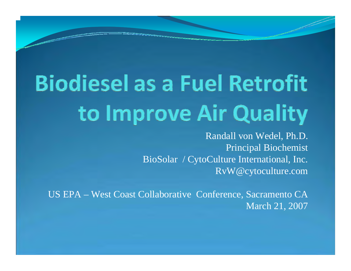## **Biodiesel as a Fuel Retrofit** to Improve Air Quality

Randall von Wedel, Ph.D. Principal Biochemist BioSolar / CytoCulture International, Inc. RvW@cytoculture.com

US EPA – West Coast Collaborative Conference, Sacramento CA March 21, 2007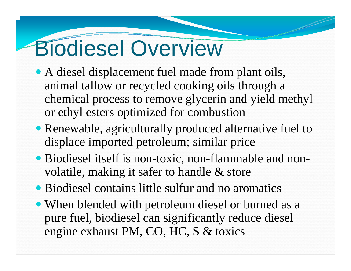### Biodiesel Overview

- A diesel displacement fuel made from plant oils, animal tallow or recycled cooking oils through a chemical process to remove glycerin and yield methyl or ethyl esters optimized for combustion
- Renewable, agriculturally produced alternative fuel to displace imported petroleum; similar price
- Biodiesel itself is non-toxic, non-flammable and nonvolatile, making it safer to handle & store
- Biodiesel contains little sulfur and no aromatics
- When blended with petroleum diesel or burned as a pure fuel, biodiesel can significantly reduce diesel engine exhaust PM, CO, HC, S & toxics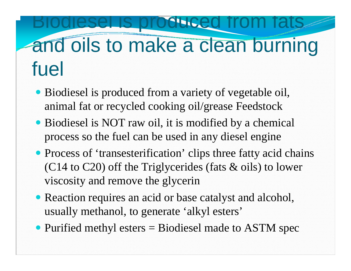#### **Diduced from fat** and oils to make a clean burning fuel

- Biodiesel is produced from a variety of vegetable oil, animal fat or recycled cooking oil/grease Feedstock
- Biodiesel is NOT raw oil, it is modified by a chemical process so the fuel can be used in any diesel engine
- Process of 'transesterification' clips three fatty acid chains (C14 to C20) off the Triglycerides (fats & oils) to lower viscosity and remove the glycerin
- Reaction requires an acid or base catalyst and alcohol, usually methanol, to generate 'alkyl esters'
- Purified methyl esters  $=$  Biodiesel made to ASTM spec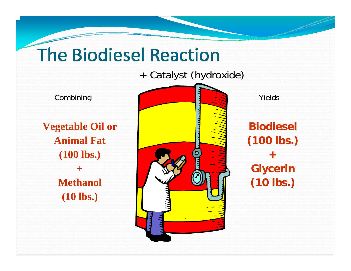#### **The Biodiesel Reaction**

+ Catalyst (hydroxide)

**Vegetable Oil or Animal Fat (100 lbs.) +Methanol (10 lbs.)** 



**Biodiesel(100 lbs.) +Glycerin (10 lbs.)**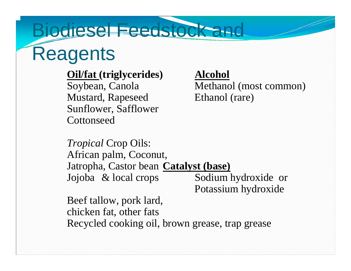#### Biodiesel Feedstock and **Reagents**

#### **Oil/fat (triglycerides) Alcohol**

Mustard, Rapeseed Ethanol (rare) Sunflower, Safflower **Cottonseed** 

Soybean, Canola Methanol (most common)

*Tropical* Crop Oils: African palm, Coconut, Jatropha, Castor bean **Catalyst (base)** Jojoba & local crops Sodium hydroxide or

Potassium hydroxide

Beef tallow, pork lard, chicken fat, other fats Recycled cooking oil, brown grease, trap grease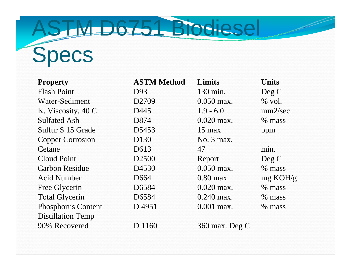### ASTM D6751 Biodiesel **Specs**

| <b>Property</b>           | <b>ASTM Method</b> | <b>Limits</b>    | <b>Units</b>       |
|---------------------------|--------------------|------------------|--------------------|
| <b>Flash Point</b>        | D93                | 130 min.         | Deg C              |
| Water-Sediment            | D <sub>2709</sub>  | $0.050$ max.     | $%$ vol.           |
| K. Viscosity, 40 C        | D445               | $1.9 - 6.0$      | mm2/sec.           |
| <b>Sulfated Ash</b>       | D874               | $0.020$ max.     | % mass             |
| Sulfur S 15 Grade         | D5453              | $15 \text{ max}$ | ppm                |
| <b>Copper Corrosion</b>   | D <sub>130</sub>   | No. 3 max.       |                    |
| Cetane                    | D613               | 47               | min.               |
| <b>Cloud Point</b>        | D <sub>2500</sub>  | Report           | Deg C              |
| <b>Carbon Residue</b>     | D4530              | $0.050$ max.     | $%$ mass           |
| <b>Acid Number</b>        | D <sub>664</sub>   | $0.80$ max.      | $mg \text{ KOH/g}$ |
| Free Glycerin             | D6584              | $0.020$ max.     | $%$ mass           |
| <b>Total Glycerin</b>     | D6584              | $0.240$ max.     | $%$ mass           |
| <b>Phosphorus Content</b> | D4951              | $0.001$ max.     | $%$ mass           |
| <b>Distillation Temp</b>  |                    |                  |                    |
| 90% Recovered             | D 1160             | $360$ max. Deg C |                    |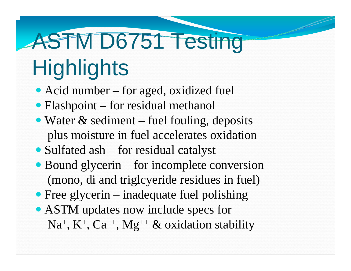# ASTM D6751 Testing

### **Highlights**

- Acid number for aged, oxidized fuel
- Flashpoint for residual methanol
- Water  $\&$  sediment fuel fouling, deposits plus moisture in fuel accelerates oxidation
- Sulfated ash for residual catalyst
- Bound glycerin for incomplete conversion (mono, di and triglcyeride residues in fuel)
- Free glycerin inadequate fuel polishing
- ASTM updates now include specs for Na<sup>+</sup>, K<sup>+</sup>, Ca<sup>++</sup>, Mg<sup>++</sup> & oxidation stability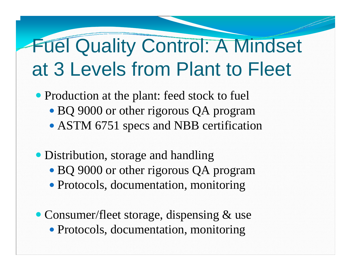#### Fuel Quality Control: A Mindset at 3 Levels from Plant to Fleet

- Production at the plant: feed stock to fuel
	- BQ 9000 or other rigorous QA program
	- ASTM 6751 specs and NBB certification
- Distribution, storage and handling
	- BQ 9000 or other rigorous QA program
	- Protocols, documentation, monitoring
- Consumer/fleet storage, dispensing & use • Protocols, documentation, monitoring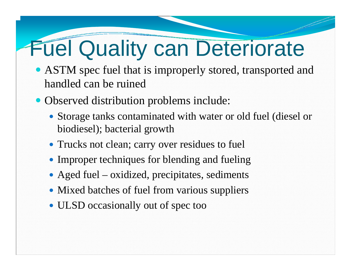### Fuel Quality can Deteriorate

- ASTM spec fuel that is improperly stored, transported and handled can be ruined
- Observed distribution problems include:
	- Storage tanks contaminated with water or old fuel (diesel or biodiesel); bacterial growth
	- Trucks not clean; carry over residues to fuel
	- Improper techniques for blending and fueling
	- Aged fuel oxidized, precipitates, sediments
	- Mixed batches of fuel from various suppliers
	- ULSD occasionally out of spec too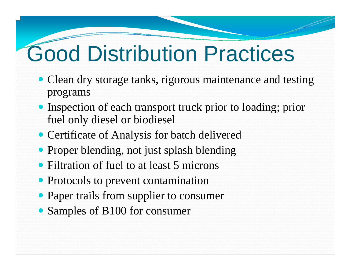### Good Distribution Practices

- Clean dry storage tanks, rigorous maintenance and testing programs
- Inspection of each transport truck prior to loading; prior fuel only diesel or biodiesel
- Certificate of Analysis for batch delivered
- Proper blending, not just splash blending
- Filtration of fuel to at least 5 microns
- Protocols to prevent contamination
- Paper trails from supplier to consumer
- Samples of B100 for consumer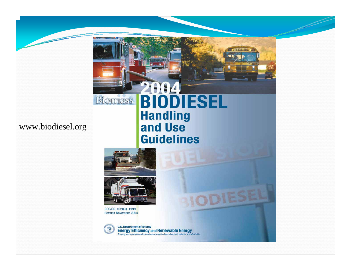#### www.biodiesel.org



DOE/GO-102004-1999 **Revised November 2004** 

Biomass



**U.S. Department of Energy Energy Efficiency and Renewable Energy**<br>Bringing you a prosperous future where energy is clean, abundant, reliable, and affordable

2004<br>BIODIESEL

TESE

**Handling** 

and Use

**Guidelines**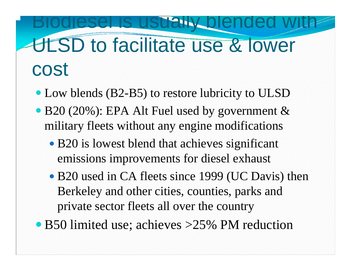#### blended ULSD to facilitate use & lower cost

- Low blends (B2-B5) to restore lubricity to ULSD
- B20 (20%): EPA Alt Fuel used by government & military fleets without any engine modifications
	- B20 is lowest blend that achieves significant emissions improvements for diesel exhaust
	- B20 used in CA fleets since 1999 (UC Davis) then Berkeley and other cities, counties, parks and private sector fleets all over the country
- B50 limited use; achieves >25% PM reduction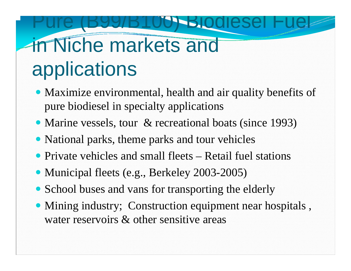#### Pure (B99/B100) Biodiesel Fuel in Niche markets and applications

- Maximize environmental, health and air quality benefits of pure biodiesel in specialty applications
- Marine vessels, tour & recreational boats (since 1993)
- National parks, theme parks and tour vehicles
- Private vehicles and small fleets Retail fuel stations
- Municipal fleets (e.g., Berkeley 2003-2005)
- School buses and vans for transporting the elderly
- Mining industry; Construction equipment near hospitals, water reservoirs & other sensitive areas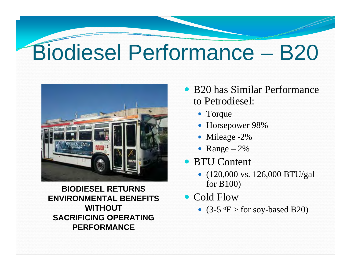### Biodiesel Performance – B20



**BIODIESEL RETURNS ENVIRONMENTAL BENEFITS WITHOUT SACRIFICING OPERATING PERFORMANCE**

- B20 has Similar Performance to Petrodiesel:
	- Torque
	- Horsepower 98%
	- Mileage -2%
	- Range  $-2\%$
- BTU Content
	- $(120,000 \text{ vs. } 126,000 \text{ BTU/gal})$ for B100)
- Cold Flow
	- $(3-5 \text{ °F} > \text{for soy-based B20})$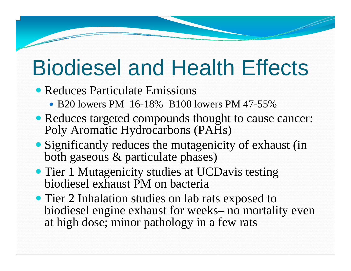### Biodiesel and Health Effects

- Reduces Particulate Emissions
	- B20 lowers PM 16-18% B100 lowers PM 47-55%
- Reduces targeted compounds thought to cause cancer: Poly Aromatic Hydrocarbons (PAHs)
- Significantly reduces the mutagenicity of exhaust (in both gaseous & particulate phases)
- Tier 1 Mutagenicity studies at UCDavis testing biodiesel exhaust PM on bacteria
- Tier 2 Inhalation studies on lab rats exposed to biodiesel engine exhaust for weeks– no mortality even at high dose; minor pathology in a few rats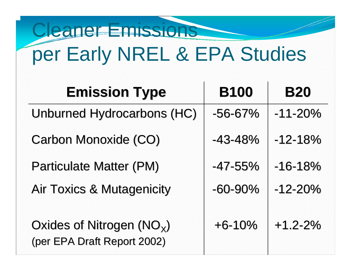#### Cleaner Emissions per Early NREL & EPA Studies

| <b>Emission Type</b>                                       | <b>B100</b>  | <b>B20</b>  |
|------------------------------------------------------------|--------------|-------------|
| Unburned Hydrocarbons (HC)                                 | $-56 - 67%$  | $-11 - 20%$ |
| Carbon Monoxide (CO)                                       | $-43 - 48%$  | $-12 - 18%$ |
| <b>Particulate Matter (PM)</b>                             | $-47 - 55\%$ | $-16-18%$   |
| <b>Air Toxics &amp; Mutagenicity</b>                       | $-60-90%$    | $-12 - 20%$ |
| Oxides of Nitrogen $(NO_x)$<br>(per EPA Draft Report 2002) | $+6 - 10%$   | $+1.2 - 2%$ |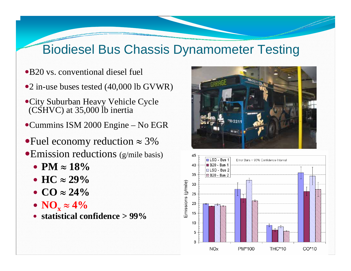#### Biodiesel Bus Chassis Dynamometer Testing

- •B20 vs. conventional diesel fuel
- •2 in-use buses tested (40,000 lb GVWR)
- City Suburban Heavy Vehicle Cycle (CSHVC) at 35,000 lb inertia
- $\bullet$ Cummins ISM 2000 Engine No EGR
- Fuel economy reduction  $\approx$  3%  $\bullet$ Emission reductions (g/mile basis)
	- y **PM**  ≈ **18%**
	- **HC**  $\approx$  29%
	- **CO**  $\approx$  24%
	- $\bullet$  NO<sub>x</sub> ≈ 4%
	- y **statistical confidence > 99%**



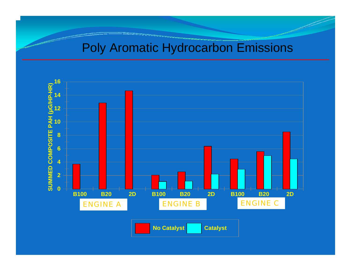#### Poly Aromatic Hydrocarbon Emissions



**No Catalyst Catalyst**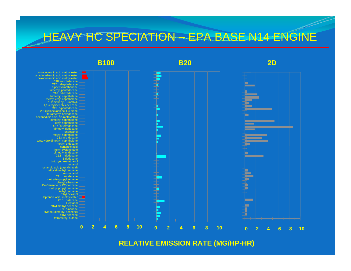#### HEAVY HC SPECIATION – EPA BASE N14 ENGINE



**RELATIVE EMISSION RATE (MG/HP-HR)**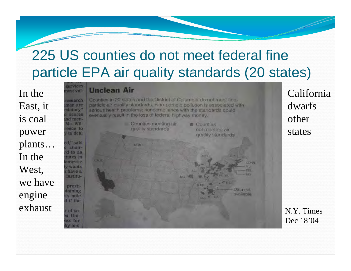#### 225 US counties do not meet federal fine particle EPA air quality standards (20 states)

In the East, it is coal power plants… In the West, we have engine exhaust

#### **Unclean Air**

arvices

Jiro teori

esearch

men are

sdatory" scores

nd men-Ms. Wil-

rence to

v to deal

ed," said

prosti-

staining

ts note d if the

r of soon Unisex for hy and

chaird to an tutes in amestic **Wants** have a institu-

Counties in 20 states and the District of Columbia do not meet fineparticle air quality standards. Fine-particle pollution is associated with serious health problems: noncompliance with the standards could eventually result in the loss of federal highway money.



California dwarfs other states

N.Y. Times Dec 18'04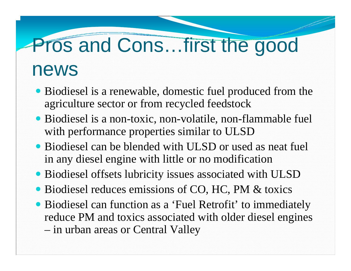### Pros and Cons…first the good

#### news

- Biodiesel is a renewable, domestic fuel produced from the agriculture sector or from recycled feedstock
- Biodiesel is a non-toxic, non-volatile, non-flammable fuel with performance properties similar to ULSD
- Biodiesel can be blended with ULSD or used as neat fuel in any diesel engine with little or no modification
- Biodiesel offsets lubricity issues associated with ULSD
- Biodiesel reduces emissions of CO, HC, PM & toxics
- Biodiesel can function as a 'Fuel Retrofit' to immediately reduce PM and toxics associated with older diesel engines in urban areas or Central Valley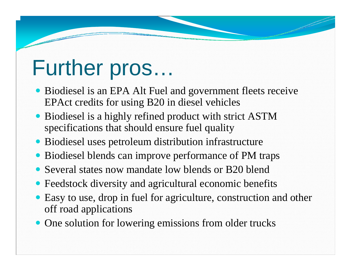#### Further pros…

- Biodiesel is an EPA Alt Fuel and government fleets receive EPAct credits for using B20 in diesel vehicles
- Biodiesel is a highly refined product with strict ASTM specifications that should ensure fuel quality
- Biodiesel uses petroleum distribution infrastructure
- Biodiesel blends can improve performance of PM traps
- Several states now mandate low blends or B20 blend
- Feedstock diversity and agricultural economic benefits
- Easy to use, drop in fuel for agriculture, construction and other off road applications
- One solution for lowering emissions from older trucks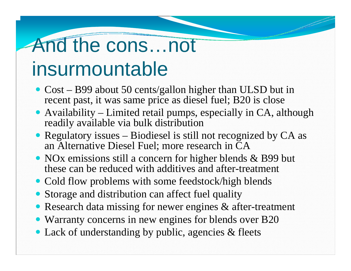## And the cons…not

#### insurmountable

- Cost B99 about 50 cents/gallon higher than ULSD but in recent past, it was same price as diesel fuel; B20 is close
- Availability Limited retail pumps, especially in  $CA$ , although readily available via bulk distribution
- Regulatory issues Biodiesel is still not recognized by  $CA$  as an Alternative Diesel Fuel; more research in CA
- NOx emissions still a concern for higher blends & B99 but these can be reduced with additives and after-treatment
- Cold flow problems with some feedstock/high blends
- Storage and distribution can affect fuel quality
- Research data missing for newer engines & after-treatment
- Warranty concerns in new engines for blends over B20
- Lack of understanding by public, agencies & fleets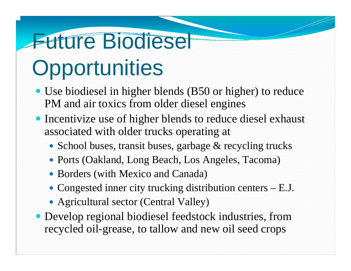### **Future Biodiesel**

### **Opportunities**

- Use biodiesel in higher blends (B50 or higher) to reduce PM and air toxics from older diesel engines
- Incentivize use of higher blends to reduce diesel exhaust associated with older trucks operating at
	- School buses, transit buses, garbage & recycling trucks
	- Ports (Oakland, Long Beach, Los Angeles, Tacoma)
	- Borders (with Mexico and Canada)
	- Congested inner city trucking distribution centers  $E.J$ .
	- Agricultural sector (Central Valley)
- Develop regional biodiesel feedstock industries, from recycled oil-grease, to tallow and new oil seed crops